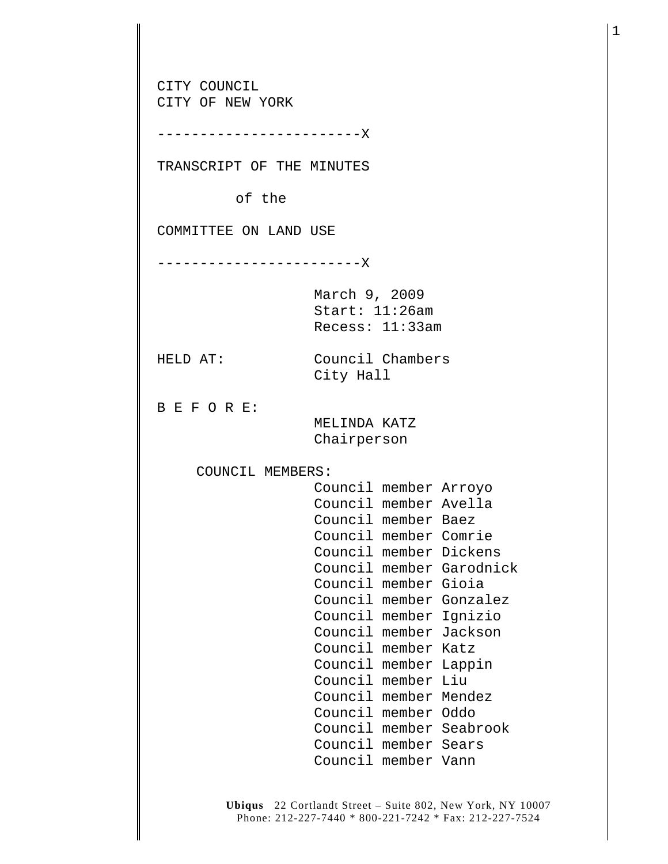CITY COUNCIL CITY OF NEW YORK ------------------------X TRANSCRIPT OF THE MINUTES of the COMMITTEE ON LAND USE ------------------------X March 9, 2009 Start: 11:26am Recess: 11:33am HELD AT: Council Chambers City Hall B E F O R E: MELINDA KATZ Chairperson COUNCIL MEMBERS: Council member Arroyo Council member Avella Council member Baez Council member Comrie Council member Dickens Council member Garodnick Council member Gioia Council member Gonzalez Council member Ignizio Council member Jackson Council member Katz Council member Lappin Council member Liu Council member Mendez Council member Oddo Council member Seabrook Council member Sears Council member Vann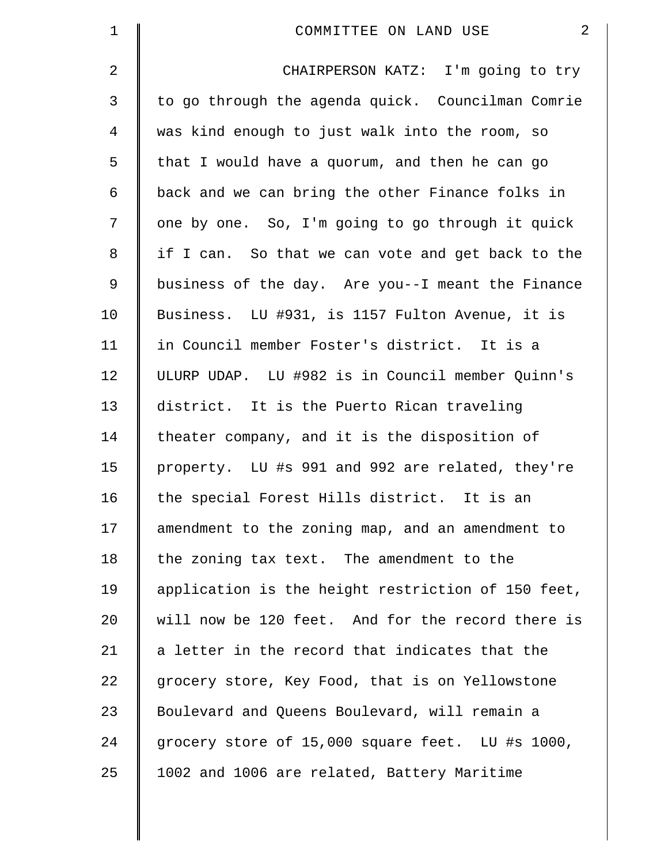| $\mathbf 1$    | $\overline{2}$<br>COMMITTEE ON LAND USE            |
|----------------|----------------------------------------------------|
| $\overline{2}$ | CHAIRPERSON KATZ: I'm going to try                 |
| 3              | to go through the agenda quick. Councilman Comrie  |
| $\overline{4}$ | was kind enough to just walk into the room, so     |
| 5              | that I would have a quorum, and then he can go     |
| 6              | back and we can bring the other Finance folks in   |
| 7              | one by one. So, I'm going to go through it quick   |
| 8              | if I can. So that we can vote and get back to the  |
| 9              | business of the day. Are you--I meant the Finance  |
| 10             | Business. LU #931, is 1157 Fulton Avenue, it is    |
| 11             | in Council member Foster's district. It is a       |
| 12             | ULURP UDAP. LU #982 is in Council member Quinn's   |
| 13             | district. It is the Puerto Rican traveling         |
| 14             | theater company, and it is the disposition of      |
| 15             | property. LU #s 991 and 992 are related, they're   |
| 16             | the special Forest Hills district. It is an        |
| 17             | amendment to the zoning map, and an amendment to   |
| 18             | the zoning tax text. The amendment to the          |
| 19             | application is the height restriction of 150 feet, |
| 20             | will now be 120 feet. And for the record there is  |
| 21             | a letter in the record that indicates that the     |
| 22             | grocery store, Key Food, that is on Yellowstone    |
| 23             | Boulevard and Queens Boulevard, will remain a      |
| 24             | grocery store of 15,000 square feet. LU #s 1000,   |
| 25             | 1002 and 1006 are related, Battery Maritime        |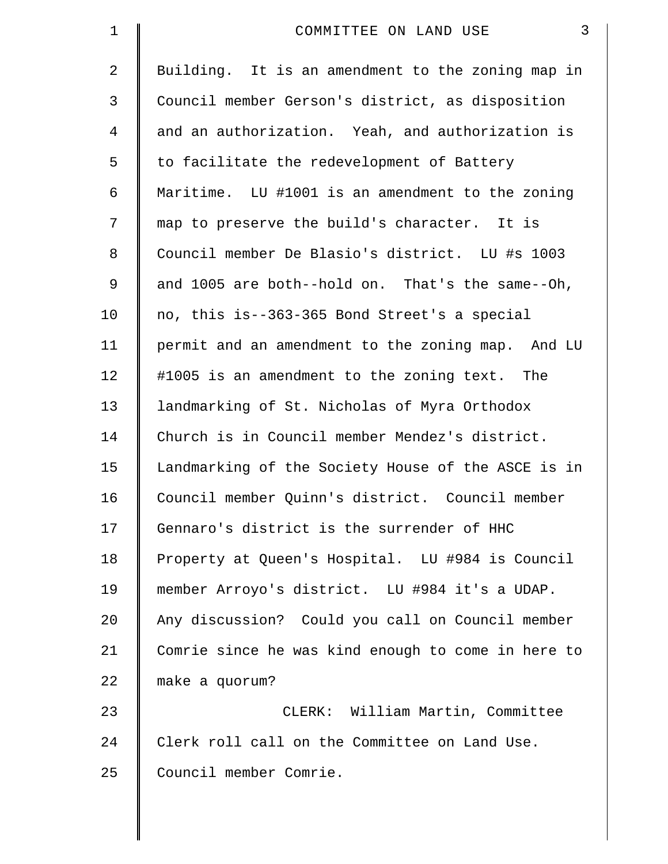| $\mathbf 1$    | $\mathbf{3}$<br>COMMITTEE ON LAND USE              |
|----------------|----------------------------------------------------|
| $\overline{2}$ | Building. It is an amendment to the zoning map in  |
| 3              | Council member Gerson's district, as disposition   |
| $\overline{4}$ | and an authorization. Yeah, and authorization is   |
| 5              | to facilitate the redevelopment of Battery         |
| 6              | Maritime. LU #1001 is an amendment to the zoning   |
| 7              | map to preserve the build's character. It is       |
| 8              | Council member De Blasio's district. LU #s 1003    |
| 9              | and 1005 are both--hold on. That's the same--Oh,   |
| 10             | no, this is--363-365 Bond Street's a special       |
| 11             | permit and an amendment to the zoning map. And LU  |
| 12             | #1005 is an amendment to the zoning text. The      |
| 13             | landmarking of St. Nicholas of Myra Orthodox       |
| 14             | Church is in Council member Mendez's district.     |
| 15             | Landmarking of the Society House of the ASCE is in |
| 16             | Council member Quinn's district. Council member    |
| 17             | Gennaro's district is the surrender of HHC         |
| 18             | Property at Queen's Hospital. LU #984 is Council   |
| 19             | member Arroyo's district. LU #984 it's a UDAP.     |
| 20             | Any discussion? Could you call on Council member   |
| 21             | Comrie since he was kind enough to come in here to |
| 22             | make a quorum?                                     |
| 23             | CLERK: William Martin, Committee                   |
| 24             | Clerk roll call on the Committee on Land Use.      |
| 25             | Council member Comrie.                             |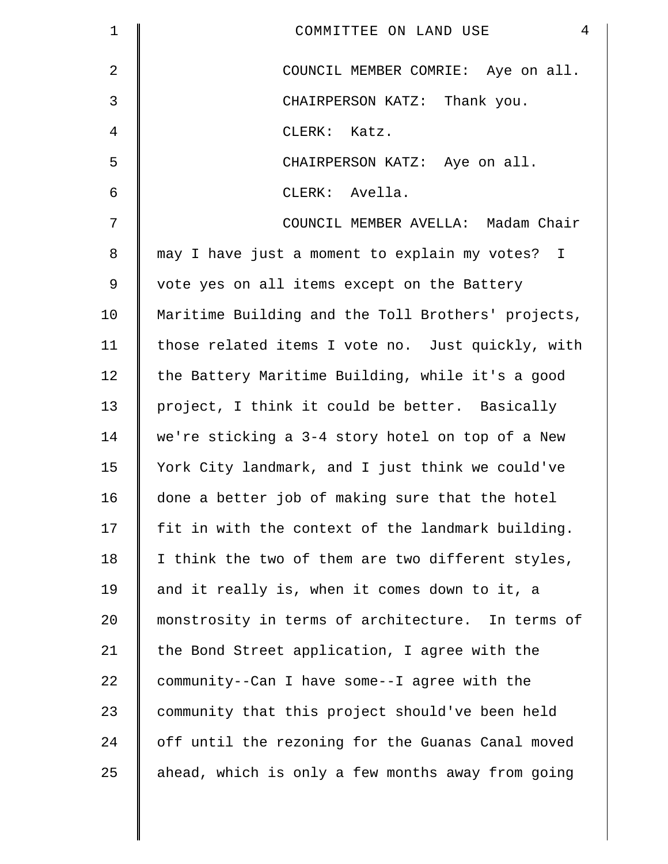| $\mathbf 1$    | $\overline{4}$<br>COMMITTEE ON LAND USE            |
|----------------|----------------------------------------------------|
| $\overline{2}$ | COUNCIL MEMBER COMRIE: Aye on all.                 |
| $\mathfrak{Z}$ | CHAIRPERSON KATZ: Thank you.                       |
| $\overline{4}$ | CLERK: Katz.                                       |
| 5              | CHAIRPERSON KATZ: Aye on all.                      |
| 6              | CLERK: Avella.                                     |
| 7              | COUNCIL MEMBER AVELLA: Madam Chair                 |
| $\,8\,$        | may I have just a moment to explain my votes? I    |
| 9              | vote yes on all items except on the Battery        |
| 10             | Maritime Building and the Toll Brothers' projects, |
| 11             | those related items I vote no. Just quickly, with  |
| 12             | the Battery Maritime Building, while it's a good   |
| 13             | project, I think it could be better. Basically     |
| 14             | we're sticking a 3-4 story hotel on top of a New   |
| 15             | York City landmark, and I just think we could've   |
| 16             | done a better job of making sure that the hotel    |
| 17             | fit in with the context of the landmark building.  |
| 18             | I think the two of them are two different styles,  |
| 19             | and it really is, when it comes down to it, a      |
| 20             | monstrosity in terms of architecture. In terms of  |
| 21             | the Bond Street application, I agree with the      |
| 22             | community--Can I have some--I agree with the       |
| 23             | community that this project should've been held    |
| 24             | off until the rezoning for the Guanas Canal moved  |
| 25             | ahead, which is only a few months away from going  |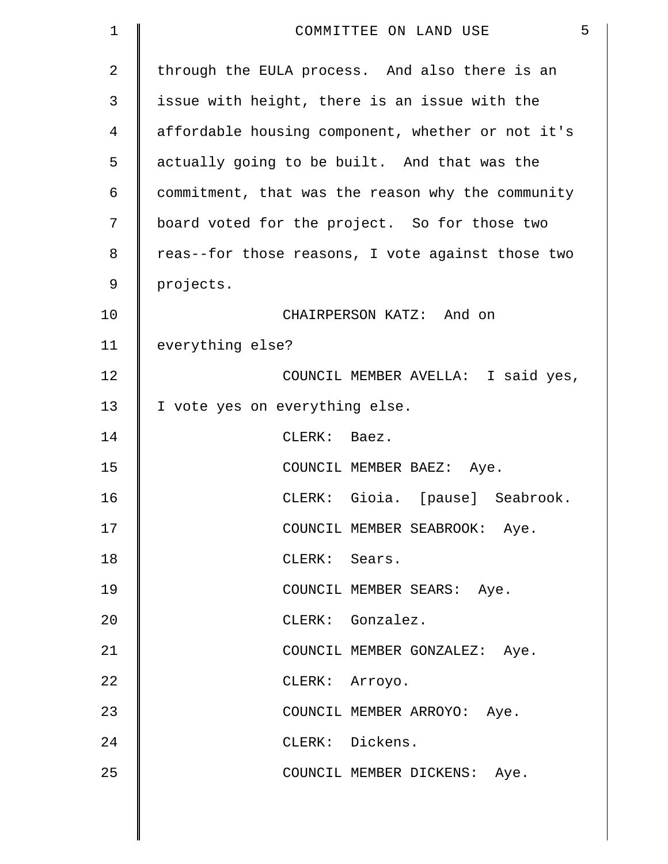| $\mathbf 1$    | 5<br>COMMITTEE ON LAND USE                        |
|----------------|---------------------------------------------------|
| $\overline{2}$ | through the EULA process. And also there is an    |
| 3              | issue with height, there is an issue with the     |
| 4              | affordable housing component, whether or not it's |
| 5              | actually going to be built. And that was the      |
| 6              | commitment, that was the reason why the community |
| 7              | board voted for the project. So for those two     |
| 8              | reas--for those reasons, I vote against those two |
| 9              | projects.                                         |
| 10             | CHAIRPERSON KATZ: And on                          |
| 11             | everything else?                                  |
| 12             | COUNCIL MEMBER AVELLA: I said yes,                |
| 13             | I vote yes on everything else.                    |
| 14             | CLERK: Baez.                                      |
| 15             | COUNCIL MEMBER BAEZ: Aye.                         |
| 16             | CLERK: Gioia. [pause] Seabrook.                   |
| 17             | COUNCIL MEMBER SEABROOK: Aye.                     |
| 18             | CLERK: Sears.                                     |
| 19             | COUNCIL MEMBER SEARS: Aye.                        |
| 20             | CLERK: Gonzalez.                                  |
| 21             | COUNCIL MEMBER GONZALEZ: Aye.                     |
| 22             | CLERK: Arroyo.                                    |
| 23             | COUNCIL MEMBER ARROYO: Aye.                       |
| 24             | CLERK: Dickens.                                   |
| 25             | COUNCIL MEMBER DICKENS: Aye.                      |
|                |                                                   |

 $\parallel$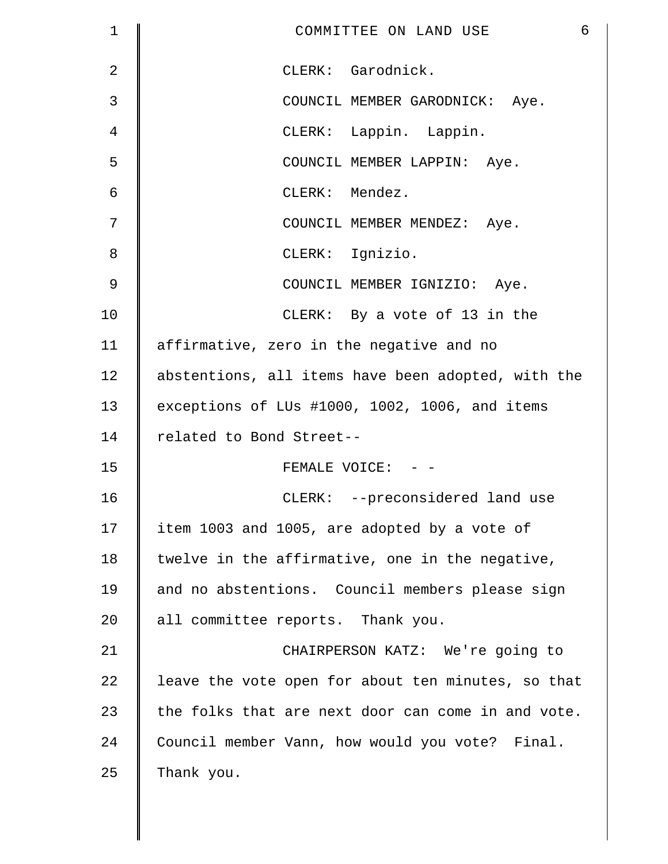| $\mathbf 1$    | 6<br>COMMITTEE ON LAND USE                         |
|----------------|----------------------------------------------------|
| $\overline{2}$ | CLERK: Garodnick.                                  |
| 3              | COUNCIL MEMBER GARODNICK: Aye.                     |
| 4              | CLERK: Lappin. Lappin.                             |
| 5              | COUNCIL MEMBER LAPPIN: Aye.                        |
| 6              | CLERK: Mendez.                                     |
| 7              | COUNCIL MEMBER MENDEZ: Aye.                        |
| 8              | CLERK: Ignizio.                                    |
| 9              | COUNCIL MEMBER IGNIZIO: Aye.                       |
| 10             | CLERK: By a vote of 13 in the                      |
| 11             | affirmative, zero in the negative and no           |
| 12             | abstentions, all items have been adopted, with the |
| 13             | exceptions of LUs #1000, 1002, 1006, and items     |
| 14             | related to Bond Street--                           |
| 15             | FEMALE VOICE: - -                                  |
| 16             | CLERK: --preconsidered land use                    |
| 17             | item 1003 and 1005, are adopted by a vote of       |
| 18             | twelve in the affirmative, one in the negative,    |
| 19             | and no abstentions. Council members please sign    |
| 20             | all committee reports. Thank you.                  |
| 21             | CHAIRPERSON KATZ: We're going to                   |
| 22             | leave the vote open for about ten minutes, so that |
| 23             | the folks that are next door can come in and vote. |
| 24             | Council member Vann, how would you vote? Final.    |
| 25             | Thank you.                                         |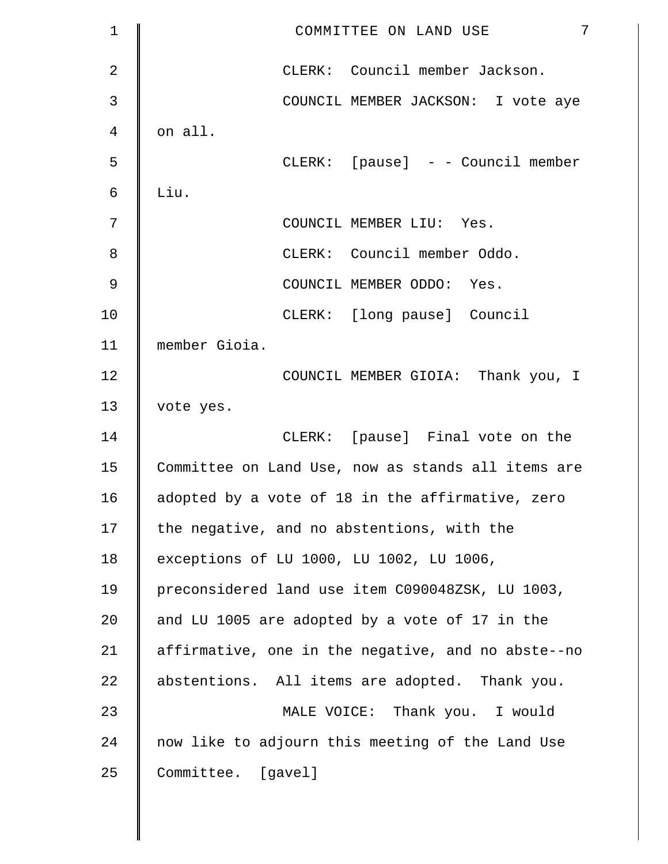| $\mathbf{1}$ | 7<br>COMMITTEE ON LAND USE                         |
|--------------|----------------------------------------------------|
| 2            | CLERK: Council member Jackson.                     |
| 3            | COUNCIL MEMBER JACKSON: I vote aye                 |
| 4            | on all.                                            |
| 5            | CLERK: [pause] - - Council member                  |
| 6            | Liu.                                               |
| 7            | COUNCIL MEMBER LIU: Yes.                           |
| 8            | CLERK: Council member Oddo.                        |
| 9            | COUNCIL MEMBER ODDO: Yes.                          |
| 10           | CLERK: [long pause] Council                        |
| 11           | member Gioia.                                      |
| 12           | COUNCIL MEMBER GIOIA: Thank you, I                 |
| 13           | vote yes.                                          |
| 14           | CLERK: [pause] Final vote on the                   |
| 15           | Committee on Land Use, now as stands all items are |
| 16           | adopted by a vote of 18 in the affirmative, zero   |
| 17           | the negative, and no abstentions, with the         |
| 18           | exceptions of LU 1000, LU 1002, LU 1006,           |
| 19           | preconsidered land use item C090048ZSK, LU 1003,   |
| 20           | and LU 1005 are adopted by a vote of 17 in the     |
| 21           | affirmative, one in the negative, and no abste--no |
| 22           | abstentions. All items are adopted. Thank you.     |
| 23           | MALE VOICE: Thank you. I would                     |
| 24           | now like to adjourn this meeting of the Land Use   |
| 25           | Committee. [gavel]                                 |